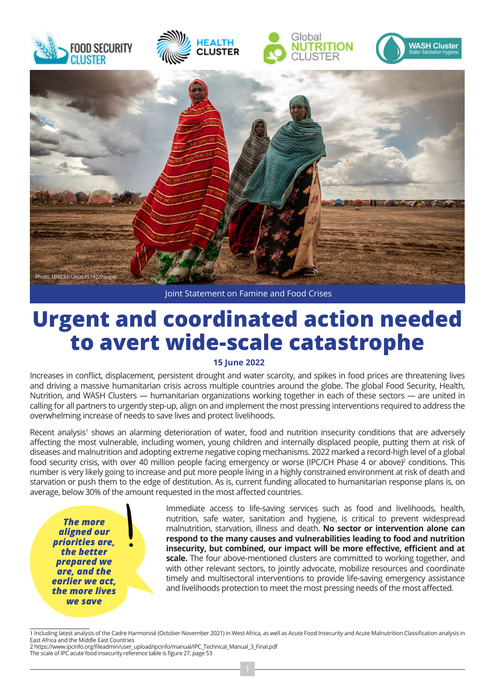









Joint Statement on Famine and Food Crises

# **Urgent and coordinated action needed to avert wide-scale catastrophe**

# **15 June 2022**

Increases in conflict, displacement, persistent drought and water scarcity, and spikes in food prices are threatening lives and driving a massive humanitarian crisis across multiple countries around the globe. The global Food Security, Health, Nutrition, and WASH Clusters — humanitarian organizations working together in each of these sectors — are united in calling for all partners to urgently step-up, align on and implement the most pressing interventions required to address the overwhelming increase of needs to save lives and protect livelihoods.

Recent analysis<sup>1</sup> shows an alarming deterioration of water, food and nutrition insecurity conditions that are adversely affecting the most vulnerable, including women, young children and internally displaced people, putting them at risk of diseases and malnutrition and adopting extreme negative coping mechanisms. 2022 marked a record-high level of a global food security crisis, with over 40 million people facing emergency or worse (IPC/CH Phase 4 or above)<sup>2</sup> conditions. This number is very likely going to increase and put more people living in a highly constrained environment at risk of death and starvation or push them to the edge of destitution. As is, current funding allocated to humanitarian response plans is, on average, below 30% of the amount requested in the most affected countries.

*The more aligned our priorities are, the better prepared we are, and the earlier we act, the more lives we save*

Immediate access to life-saving services such as food and livelihoods, health, nutrition, safe water, sanitation and hygiene, is critical to prevent widespread malnutrition, starvation, illness and death. **No sector or intervention alone can respond to the many causes and vulnerabilities leading to food and nutrition insecurity, but combined, our impact will be more effective, efficient and at scale.** The four above-mentioned clusters are committed to working together, and with other relevant sectors, to jointly advocate, mobilize resources and coordinate timely and multisectoral interventions to provide life-saving emergency assistance and livelihoods protection to meet the most pressing needs of the most affected.

<sup>1</sup> Including latest analysis of the Cadre Harmonisé (October-November 2021) in West Africa, as well as Acute Food Insecurity and Acute Malnutrition Classification analysis in East Africa and the Middle East Countries

<sup>2</sup> https://www.ipcinfo.org/fileadmin/user\_upload/ipcinfo/manual/IPC\_Technical\_Manual\_3\_Final.pdf

The scale of IPC acute food insecurity reference table is figure 27, page 53